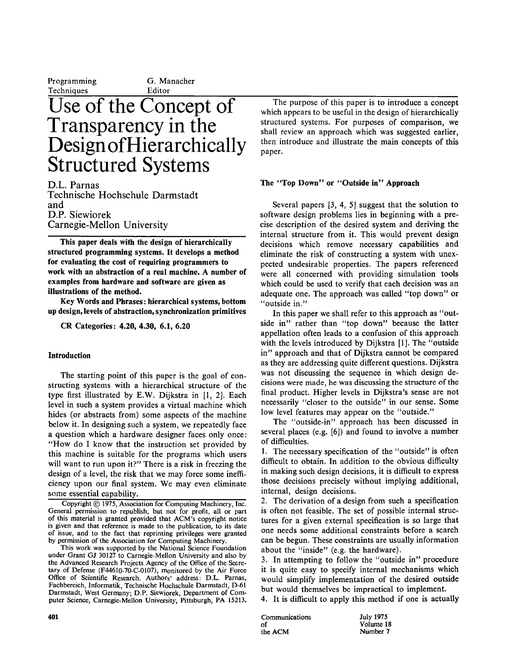**Programming C. Manacher** 

# **Techniques**<br>Use of the Concept of **Transparency in the Design of Hierarchically**  $\Omega_L = \Omega$ Sti uctured System

and D.L. Parnas Technische Hochschule Darmstadt<br>and **D.P.** Siewiorek **Carnegie-Mellon University** 

**for evaluating the cost of requiring programmers to**  This paper deals with the design of hierarchically structured programming systems. It develops a method for evaluating the cost of requiring programmers to work with an abstraction of a real machine. A number of examples from hardware and software are given as illustrations of the method.

Key Words and Phrases: hierarchical systems, bottom up design, levels of abstraction, synchronization primitives

CR Categories: 4.20, 4.30, 6.1, 6.20

# **Introduction**

The starting point of this paper is the goal of constructing systems with a hierarchical structure of the type first illustrated by E.W. Dijkstra in  $[1, 2]$ . Each level in such a system provides a virtual machine which hides (or abstracts from) some aspects of the machine below it. In designing such a system, we repeatedly face a question which a hardware designer faces only once: "How do I know that the instruction set provided by this machine is suitable for the programs which users will want to run upon it?" There is a risk in freezing the design of a level, the risk that we may force some inefficiency upon our final system. We may even eliminate some essential capability.  $\frac{1}{\sqrt{1-\frac{1}{\sqrt{1-\frac{1}{\sqrt{1-\frac{1}{\sqrt{1-\frac{1}{\sqrt{1-\frac{1}{\sqrt{1-\frac{1}{\sqrt{1-\frac{1}{\sqrt{1-\frac{1}{\sqrt{1-\frac{1}{\sqrt{1-\frac{1}{\sqrt{1-\frac{1}{\sqrt{1-\frac{1}{\sqrt{1-\frac{1}{\sqrt{1-\frac{1}{\sqrt{1-\frac{1}{\sqrt{1-\frac{1}{\sqrt{1-\frac{1}{\sqrt{1-\frac{1}{\sqrt{1-\frac{1}{\sqrt{1-\frac{1}{\sqrt{1-\frac{1}{\sqrt{1-\frac{1}{\sqrt{1-\frac{1}{\sqrt{1-\frac{1$ 

Copyright  $\odot$  1975, Association for Computing Machinery, Inc. General permission to republish, but not for profit, all or part of this material is granted provided that ACM's copyright notice is given and that reference is made to the publication, to its date of issue, and to the fact that reprinting privileges were granted by permission of the Association for Computing Machinery.

This work was supported by the National Science Foundation under Grant GJ 30127 to Carnegie-Mellon University and also by the Advanced Research Projects Agency of the Office of the Secretary of Defense (F44610-70-C-0107), monitored by the Air Force Office of Scientific Research. Authors' address: D.L. Parnas, Fachbereich, Informatik, Technische Hochschule Darmstadt, D-61<br>Darmstadt, West Germany; D.P. Siewiorek, Department of Com-<br>Darmstadt, West Germany; D.P. Siewiorek, Department of Com-<br>Darmstadt, West Germany; D.P. Siewiorek puter Science, Carnegie-Mellon University, Pittsburgh, PA 15213.

structured systems. For purposes of comparison, we The purpose of this paper is to introduce a concept which appears to be useful in the design of hierarchically structured systems. For purposes of comparison, we shall review an approach which was suggested earlier, then introduce and illustrate the main concepts of this  $papc1.$ 

#### $\mathbf{S}$  support that the solution to solution that the solution to solution to solution to solution to solution to solution the solution to solution that the solution to solution that the solution to solution that the so sue top Down of Outside in Approach

Several papers  $[3, 4, 5]$  suggest that the solution to software design problems lies in beginning with a precise description of the desired system and deriving the internal structure from it. This would prevent design decisions which remove necessary capabilities and eliminate the risk of constructing a system with unexpected undesirable properties. The papers referenced were all concerned with providing simulation tools which could be used to verify that each decision was an adequate one. The approach was called "top down" or "outside in."

In this paper we shall refer to this approach as "outside in" rather than "top down" because the latter appellation often leads to a confusion of this approach with the levels introduced by Dijkstra [1]. The "outside" in" approach and that of Dijkstra cannot be compared as they are addressing quite different questions. Dijkstra was not discussing the sequence in which design decisions were made, he was discussing the structure of the final product. Higher levels in Dijkstra's sense are not necessarily "closer to the outside" in our sense. Some low level features may appear on the "outside."

The "outside-in" approach has been discussed in several places (e.g.  $[6]$ ) and found to involve a number of difficulties.

1. The necessary specification of the "outside" is often difficult to obtain. In addition to the obvious difficulty in making such design decisions, it is difficult to express those decisions precisely without implying additional, internal, design decisions.

2. The derivation of a design from such a specification is often not feasible. The set of possible internal structures for a given external specification is so large that one needs some additional constraints before a search can be begun. These constraints are usually information about the "inside" (e.g. the hardware).

3. In attempting to follow the "outside in" procedure it is quite easy to specify internal mechanisms which would simplify implementation of the desired outside

 $\overline{a}$  It is difficult to apply this method **the** *ACM* Number 7 apply this include

| Communications |  |
|----------------|--|
| Ωf             |  |
| the ACM        |  |

**July 1975** Volume 18 Number 7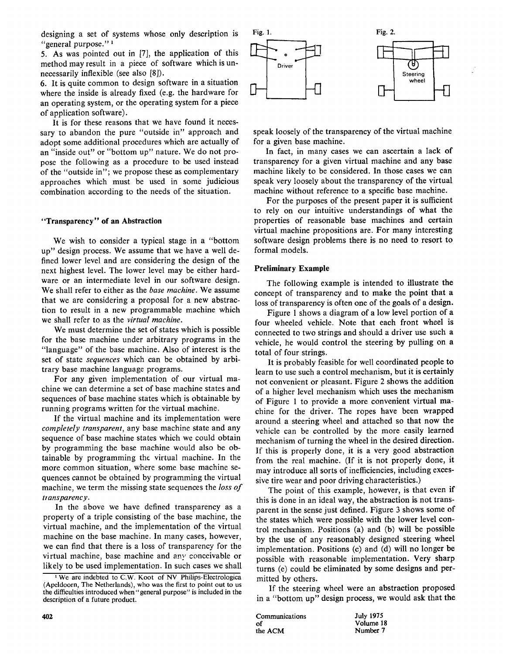designing a set of systems whose only description is "general purpose."<sup>1</sup>

5. As was pointed out in [7], the application of this method may result in a piece of software which is unnecessarily inflexible (see also  $[8]$ ).

6. It is quite common to design software in a situation where the inside is already fixed (e.g. the hardware for an operating system, or the operating system for a piece of application software).

It is for these reasons that we have found it necessary to abandon the pure "outside in" approach and adopt some additional procedures which are actually of an "inside out" or "bottom up" nature. We do not propose the following as a procedure to be used instead of the "outside in"; we propose these as complementary approaches which must be used in some judicious combination according to the needs of the situation.

## **"Transparency" of an Abstraction**

We wish to consider a typical stage in a "bottom up" design process. We assume that we have a well defined lower level and are considering the design of the next highest level. The lower level may be either hardware or an intermediate level in our software design. We shall refer to either as the *base machine.* We assume that we are considering a proposal for a new abstraction to result in a new programmable machine which we shall refer to as the *virtual machine.* 

We must determine the set of states which is possible for the base machine under arbitrary programs in the "language" of the base machine. Also of interest is the set of state *sequences* which can be obtained by arbitrary base machine language programs.

For any given implementation of our virtual machine we can determine a set of base machine states and sequences of base machine states which is obtainable by running programs written for the virtual machine.

If the virtual machine and its implementation were *completely transparent,* any base machine state and any sequence of base machine states which we could obtain by programming the base machine would also be obtainable by programming the virtual machine. In the more common situation, where some base machine sequences cannot be obtained by programming the virtual machine, we term the missing state sequences the *loss of transparency.* 

In the above we have defined transparency as a property of a triple consisting of the base machine, the virtual machine, and the implementation of the virtual machine on the base machine. In many cases, however, we can find that there is a loss of transparency for the virtual machine, base machine and any conceivable or likely to be used implementation. In such cases we shall



speak loosely of the transparency of the virtual machine for a given base machine.

In fact, in many cases we can ascertain a lack of transparency for a given virtual machine and any base machine likely to be considered. In those cases we can speak very loosely about the transparency of the virtual machine without reference to a specific base machine.

For the purposes of the present paper it is sufficient to rely on our intuitive understandings of what the properties of reasonable base machines and certain virtual machine propositions are. For many interesting software design problems there is no need to resort to formal models.

#### **Preliminary Example**

The following example is intended to illustrate the concept of transparency and to make the point that a loss of transparency is often one of the goals of a design.

Figure 1 shows a diagram of a low level portion of a four wheeled vehicle. Note that each front wheel is connected to two strings and should a driver use such a vehicle, he would control the steering by pulling on a total of four strings.

It is probably feasible for well coordinated people to learn to use such a control mechanism, but it is certainly not convenient or pleasant. Figure 2 shows the addition of a higher level mechanism which uses the mechanism of Figure 1 to provide a more convenient virtual machine for the driver. The ropes have been wrapped around a steering wheel and attached so that now the vehicle can be controlled by the more easily learned mechanism of turning the wheel in the desired direction. If this is properly done, it is a very good abstraction from the real machine. (If it is not properly done, it may introduce all sorts of inefficiencies, including excessive tire wear and poor driving characteristics.)

The point of this example, however, is that even if this is done in an ideal way, the abstraction is not transparent in the sense just defined. Figure 3 shows some of the states which were possible with the lower level control mechanism. Positions (a) and (b) will be possible by the use of any reasonably designed steering wheel implementation. Positions (c) and (d) will no longer be possible with reasonable implementation. Very sharp turns (e) could be eliminated by some designs and permitted by others.

If the steering wheel were an abstraction proposed in a "bottom up" design process, we would ask that the

| 402 | Communications | <b>July 197</b> |
|-----|----------------|-----------------|
|     | O.             | Volume          |
|     | the ACM        | Number          |

July 1975<br>Volume 18 **Number 7** 

<sup>&</sup>lt;sup>1</sup> We are indebted to C.W. Koot of NV Philips-Electrologica (Apeldoorn, The Netherlands), who was the first to point out to us the difficulties introduced when "general purpose" is included in the description of a future product.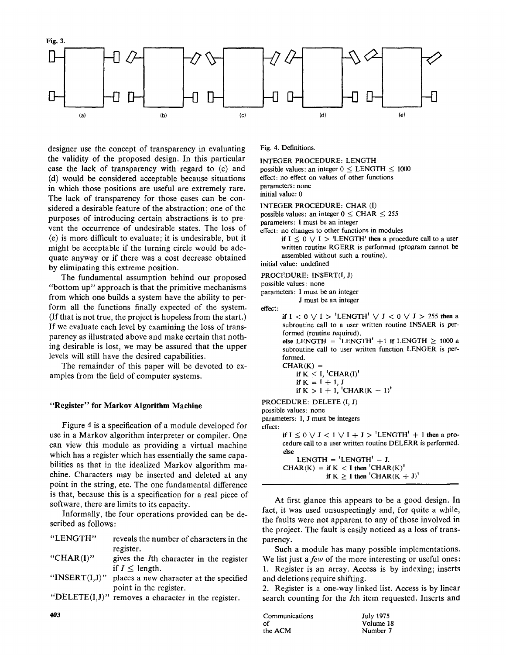

designer use the concept of transparency in evaluating. the validity of the proposed design. In this particular case the lack of transparency with regard to (c) and (d) would be considered acceptable because situations in which those positions are useful are extremely rare. The lack of transparency for those cases can be considered a desirable feature of the abstraction; one of the purposes of introducing certain abstractions is to prevent the occurrence of undesirable states. The loss of  $(e)$  is more difficult to evaluate; it is undesirable, but it might be acceptable if the turning circle would be adequate anyway or if there was a cost decrease obtained. by eliminating this extreme position.

The fundamental assumption behind our proposed "bottom up" approach is that the primitive mechanisms from which one builds a system have the ability to perform all the functions finally expected of the system. If that is not true, the project is hopeless from the start.) If we evaluate each level by examining the loss of transparency as illustrated above and make certain that nothing desirable is lost, we may be assured that the upper levels will still have the desired capabilities.

The remainder of this paper will be devoted to examples from the field of computer systems.

Figure 4 is a specification of a module developed for use in a Markov algorithm interpreter or compiler. One can view this module as providing a virtual machine which has a register which has essentially the same capabilities as that in the idealized Markov algorithm machine. Characters may be inserted and deleted at any point in the string, etc. The one fundamental difference is that, because this is a specification for a real piece of software, there are limits to its capacity.

Informally, the four operations provided can be described as follows:

| "LENGTH"          | reveals the number of characters in the                 |
|-------------------|---------------------------------------------------------|
|                   | register.                                               |
| "CHAR $(I)$ "     | gives the <i>I</i> th character in the register         |
|                   | if $I \leq$ length.                                     |
| "INSERT $(I,J)$ " | places a new character at the specified                 |
|                   | point in the register.                                  |
|                   | "DELETE $(I, J)$ " removes a character in the register. |

 $\mathbf{I}$ 

INTEGER PROCEDURE: LENGTH possible values: an integer  $0 \le$  LENGTH  $\le$  1000 effect: no effect on values of other functions parameters: none initial value: 0

INTEGER PROCEDURE: CHAR (I)

possible values: an integer  $0 \leq \text{CHAR} \leq 255$ 

parameters: I must be an integer

effect: no changes to other functions in modules

if  $I \leq 0 \vee I$  > 'LENGTH' then a procedure call to a user written routine RGERR is performed (program cannot be assembled without such a routine).

initial value: undefined

PROCEDURE: INSERT(I, J)

possible values: none

parameters: I must be an integer<br>J must be an integer

if  $I < 0 \vee I > 'LENGTH' \vee J < 0 \vee J > 255$  then a subroutine call to a user written routine INSAER is performed (routine required). else LENGTH = 'LENGTH' +1 if LENGTH  $\geq$  1000 a subroutine call to user written function LENGER is performed.  $CHAR(K) =$ if  $K < I$ ,  $'CHAR(I)'$ **if**  $K = I + 1, J$ if  $K > I + 1$ , 'CHAR $(K - 1)$ ' PROCEDURE: DELETE (I, J) possible values: none parameters: I, J must be integers effect: if  $I \le 0 \vee J < 1 \vee I + J > 'LENGTH' + 1$  then a procedure call to a user written routine DELERR is performed. else  $LENGTH = 'LENGTH' - J.$  $CHAR(K) =$  if  $K < I$  then  $'CHAR(K)'$ if  $K \geq I$  then 'CHAR( $K + J$ )'

At first glance this appears to be a good design. In fact, it was used unsuspectingly and, for quite a while, the faults were not apparent to any of those involved in the project. The fault is easily noticed as a loss of trans-<br>parency.  $SUSU$ 

Such a module has many possible implementations. We list just a few of the more interesting or useful ones: 1. Register is an array. Access is by indexing; inserts and deletions require shifting.

2. Register is a one-way linked list. Access is by linear search counting for the *I*th item requested. Inserts and

| Communications | July 1975 |
|----------------|-----------|
| Ωf             | Volume 18 |
| the ACM        | Number 7  |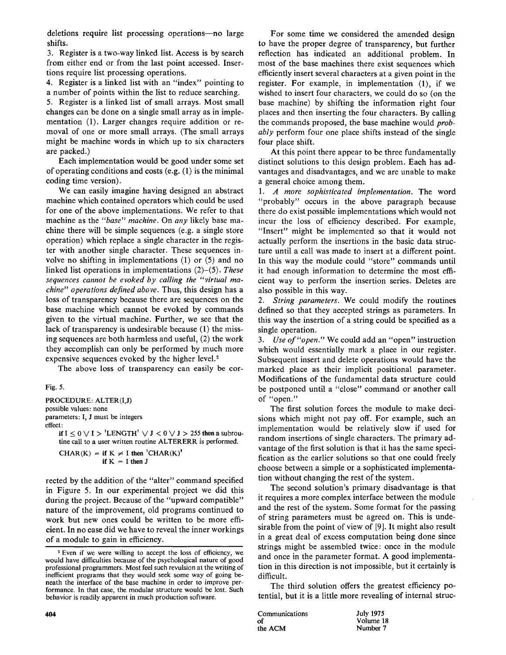deletions require list processing operations-no large shifts.

3. Register is a two-way linked list. Access is by search from either end or from the last point accessed. Insertions require list processing operations.

4. Register is a linked list with an "index" pointing to a number of points within the list to reduce searching. 5. Register is a linked list of small arrays. Most small changes can be done on a single small array as in implementation (I). Larger changes require addition or removal of one or more small arrays. (The small arrays might be machine words in which up to six characters are packed.)

Each implementation would be good under some set of operating conditions and costs (e.g. (1) is the minimal coding time version).

We can easily imagine having designed an abstract machine which contained operators which could be used for one of the above implementations. We refer to that machine as the *"base" machine.* On *any* likely base machine there will be simple sequences (e.g. a single store operation) which replace a single character in the register with another single character. These sequences involve no shifting in implementations (1) or (5) and no linked list operations in implementations (2)-(5). *These sequences cannot be evoked by calling the "virtual machine" operations defined above.* Thus, this design has a loss of transparency because there are sequences on the base machine which cannot be evoked by commands given to the virtual machine. Further, we see that the lack of transparency is undesirable because (1) the missing sequences are both harmless and useful, (2) the work they accomplish can only be performed by much more expensive sequences evoked by the higher level.<sup>2</sup>

The above loss of transparency can easily be cor-

```
Fig. 5.
```
PROCEDURE: ALTER(I,J) possible values: none parameters: I, J must be integers effect:

> if  $I \leq 0 \vee I$  > 'LENGTH'  $\vee J$  < 0  $\vee J$  > 255 then a subroutine call to a user written routine ALTERERR is performed.

 $CHAR(K) =$  if  $K \neq I$  then 'CHAR(K)'  $i$ **f**  $K = I$  then  $J$ 

rected by the addition of the "alter" command specified in Figure 5. In our experimental project we did this during the project. Because of the "upward compatible" nature of the improvement, old programs continued to work but new ones could be written to be more efficient. In no ease did we have to reveal the inner workings of a module to gain in efficiency.

For some time we considered the amended design to have the proper degree of transparency, but further reflection has indicated an additional problem. In most of the base machines there exist sequences which efficiently insert several characters at a given point in the register. For example, in implementation (1), if we wished to insert four characters, we could do so (on the base machine) by shifting the information right four places and then inserting the four characters. By calling the commands proposed, the base machine would *probably* perform four one place shifts instead of the single four place shift.

At this point there appear to be three fundamentally distinct solutions to this design problem. Each has advantages and disadvantages, and we are unable to make a general choice among them.

*1. A more sophisticated implementation.* The word "probably" occurs in the above paragraph because there do exist possible implementations which would not incur the loss of efficiency described. For example, "Insert" might be implemented so that it would not actually perform the insertions in the basic data structure until a call was made to insert at a different point. In this way the module could "store" commands until it had enough information to determine the most efficient way to perform the insertion series. Deletes are also possible in this way.

*2. String parameters.* We could modify the routines defined so that they accepted strings as parameters. In this way the insertion of a string could be specified as a single operation.

*3. Use of"open."* We could add an "open" instruction which would essentially mark a place in our register. Subsequent insert and delete operations would have the marked place as their implicit positional parameter. Modifications of the fundamental data structure could be postponed until a "close" command or another call of "open."

The first solution forces the module to make decisions which might not pay off. For example, such an implementation would be relatively slow if used for random insertions of single characters. The primary advantage of the first solution is that it has the same specification as the earlier solutions so that one could freely choose between a simple or a sophisticated implementation without changing the rest of the system.

The second solution's primary disadvantage is that it requires a more complex interface between the module and the rest of the system. Some format for the passing of string parameters must be agreed on. This is undesirable from the point of view of [9]. It might also result in a great deal of excess computation being done since strings might be assembled twice: once in the module and once in the parameter format. A good implementation in this direction is not impossible, but it certainly is difficult.

The third solution offers the greatest efficiency potential, but it is a little more revealing of internal struc-

| 404 | Communications | <b>July 197</b> |
|-----|----------------|-----------------|
|     | οf             | Volume          |
|     | the ACM        | Number          |

July 1975<br>Volume 18 Number 7

<sup>2</sup> Even if we were willing to accept the loss of efficiency, we would have difficulties because of the psychological nature of good professional programmers. Most feel such revulsion at the writing of inefficient programs that they would seek some way of going beneath the interface of the base machine in order to improve performance. In that case, the modular structure would be lost. Such behavior is readily apparent in much production software.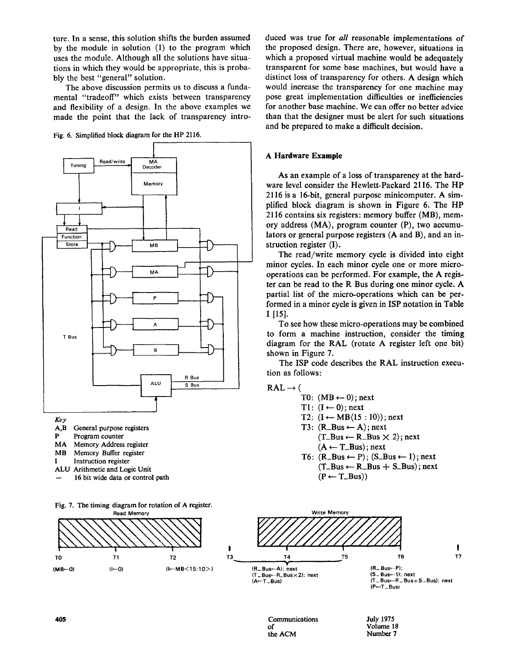ture. In a sense, this solution shifts the burden assumed by the module in solution  $(1)$  to the program which uses the module. Although all the solutions have situations in which they would be appropriate, this is probably the best "general" solution.

The above discussion permits us to discuss a fundamental "tradeoff" which exists between transparency and flexibility of a design. In the above examples we made the point that the lack of transparency intro-

Fig. 6. Simplified block diagram for the HP 2116.



Fig. 7. The timing diagram for rotation of A register. **Read Memory** 



que design. The proposed in proposed and the proposed areas in the proposed and the proposed was true to be extended to be a control of the parameter of the proposed was true to be a control of the parameter of the paramet the proposed design. There are, however, situations in which a proposed virtual machine would be adequately transparent for some base machines, but would have a distinct loss of transparency for others. A design which would increase the transparency for one machine may pose great implementation difficulties or inefficiencies for another base machine. We can offer no better advice than that the designer must be alert for such situations and be prepared to make a difficult decision.

# **A Hardware Example**

 $A \rightarrow A$ s of a loss of a loss of transparency at the hard-loss of transparency at the hard-loss of transparency at the hard-loss of  $\alpha$ As an example or a loss of transparency at the hardware level consider the Hewlett-Packard 2116. The HP  $2116$  is a 16-bit, general purpose minicomputer. A simplified block diagram is shown in Figure 6. The HP 2116 contains six registers: memory buffer (MB), memory address  $(MA)$ , program counter  $(P)$ , two accumulators or general purpose registers (A and B), and an instruction register  $(I)$ .

The read/write memory cycle is divided into eight minor cycles. In each minor cycle one or more microoperations can be performed. For example, the A register can be read to the R Bus during one minor cycle. A partial list of the micro-operations which can be performed in a minor cycle is given in ISP notation in Table I [15].  $\mathcal{D}$ .

to see now these micro-operations may be combined to form a machine instruction, consider the timing diagram for the RAL (rotate A register left one bit) shown in Figure 7.

The ISP code describes the RAL instruction execution as follows:



TI:  $11: (1 \leftarrow 0)$ ; next  $12: (1 \leftarrow MB(15 : 10))$ ;  $(M B \leftarrow U)$  ; ne  $T3: (R_Bus \leftarrow A)$ ; next  $(T_Bus \leftarrow R_Bus \times 2)$ ; next  $(A \leftarrow T_Bus); next$  $(K_Bus \leftarrow P)$ ;  $(S_Bus \leftarrow I)$ ; next

 $\mathcal{M}_{\mathrm{max}}$ 

 $(T_Bus \leftarrow R_Bus + S_Bus)$ ; next<br>(P  $\leftarrow T_Bus)$ )



Communications July 1975 **the act of**  $\blacksquare$  **the** ACM  $\blacksquare$  **the** ACM  $\blacksquare$  **the** ACM  $\blacksquare$  **the** the ACM

Number 7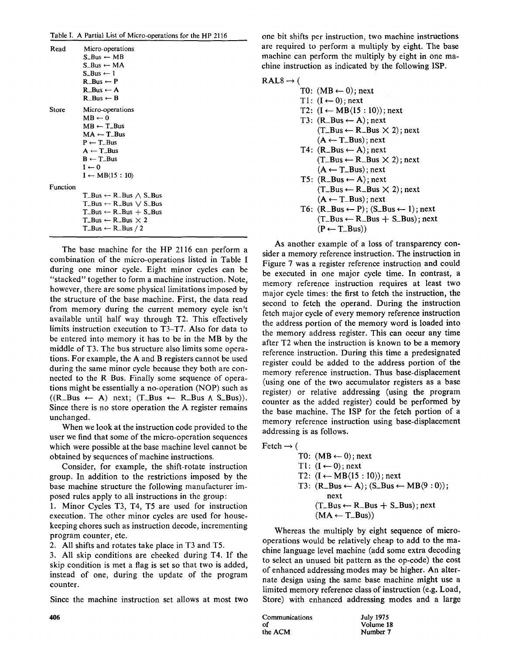|  | Table I. A Partial List of Micro-operations for the HP 2116 |  |
|--|-------------------------------------------------------------|--|

| Read     | Micro-operations<br>$S$ Bus $\leftarrow$ MB<br>$S$ <sub>Bus</sub> $\leftarrow$ MA<br>$S_Bus \leftarrow 1$<br>$R_B$ us $\leftarrow$ P<br>$R_Bus \leftarrow A$<br>$R_Bus \leftarrow B$                                |
|----------|---------------------------------------------------------------------------------------------------------------------------------------------------------------------------------------------------------------------|
| Store    | Micro-operations<br>$MB \leftarrow 0$<br>$MB \leftarrow T_B$ us<br>$MA \leftarrow T_Bus$<br>$P \leftarrow T_B$ us<br>$A \leftarrow T$ _Bus<br>$B \leftarrow T$ _Bus<br>$I \leftarrow 0$<br>$I \leftarrow MB(15:10)$ |
| Function |                                                                                                                                                                                                                     |
|          | $T_Bus \leftarrow R_Bus \wedge S_Bus$                                                                                                                                                                               |
|          | $T_Bus \leftarrow R_Bus \vee S_Bus$                                                                                                                                                                                 |
|          | $T_Bus \leftarrow R_Bus + S_Bus$<br>$T_Bus \leftarrow R_Bus \times 2$                                                                                                                                               |
|          | $T_Bus \leftarrow R_Bus / 2$                                                                                                                                                                                        |
|          |                                                                                                                                                                                                                     |

 $T$  base machine for the HP 2116 can perform and perform and perform and perform and perform and perform and perform and perform and perform and perform and perform and perform and perform and perform and perform and perf  $\frac{1}{100}$  base machine for the micro-operations listed in Table II. comonation of the micro-operations usicul in Table 1 Stating one minor cycle. Eight minor cycles can be "stacked" together to form a machine instruction. Note, however, there are some physical limitations imposed by the structure of the base machine. First, the data read from memory during the current memory cycle isn't  $\frac{1}{2}$  available until the unit including  $\frac{1}{2}$ . The set of  $\frac{1}{2}$  $\frac{1}{100}$  avanable until han way diffugal 12. This encentry limits instruction execution to  $T3-T7$ . Also for data to be entered into memory it has to be in the MB by the middle of T3. The bus structure also limits some operations. For example, the A and B registers cannot be used  $\frac{d}{dx}$  the same minor control because the same conduring the same minor cycle because they both are connected to the R Bus. Finally some sequence of operations might be essentially a no-operation (NOP) such as  $((R\_Bus \leftarrow A)$  next;  $(T\_Bus \leftarrow R\_Bus \wedge S\_Bus))$ . Since there is no store operation the A register remains unchanged.  $\frac{1}{2}$  when  $\frac{1}{2}$  at the instruction code provided to the instruction code provided to the instruction code provided to the instruction code provided to the instruction condition condition condition condition condi

when we fook at the mstruction code provided to the user we find that some of the micro-operation sequences which were possible at the base machine level cannot be.

obtained by sequences of machine instructions.<br>Consider, for example, the shift-rotate instruction consider, for example, the simprotate mstruction  $\mu$  based in addition to the restrictions imposed by the base machine structure the following manufacturer imposed rules apply to all instructions in the group:

1. Minor Cycles T3, T4, T5 are used for instruction execution. The other minor cycles are used for housekeeping chores such as instruction decode, incrementing<br>program counter, etc.

program country, cit.

 $\frac{2.4 \text{ m}}{2.4 \text{ m}}$  and  $\frac{2.4 \text{ m}}{1.4 \text{ m}}$  and  $\frac{2.4 \text{ m}}{1.4 \text{ m}}$ 3. All skip conditions are checked during T4. If the skip condition is met a flag is set so that two is added, instead of one, during the update of the program counter.

Since the machine instruction set allows at most two

one bit shifts per instruction, two machine instructions are required to perform a multiply by eight. The base machine can perform the multiply by eight in one machine instruction as indicated by the following ISP.

# $RAL8 \rightarrow ($

| ∽ |                                                            |  |
|---|------------------------------------------------------------|--|
|   | T0: $(MB \leftarrow 0)$ ; next                             |  |
|   | $T1: (I \leftarrow 0)$ ; next                              |  |
|   | T2: $(I \leftarrow MB\langle 15:10 \rangle)$ ; next        |  |
|   | $T3: (R_Bus \leftarrow A); next$                           |  |
|   | $(T_Bus \leftarrow R_Bus \times 2)$ ; next                 |  |
|   | $(A \leftarrow T\_Bus)$ ; next                             |  |
|   | $T4: (R_Bus \leftarrow A); next$                           |  |
|   | $(T_Bus \leftarrow R_Bus \times 2)$ ; next                 |  |
|   | $(A \leftarrow T\_Bus)$ ; next                             |  |
|   | T5: $(R_Bus \leftarrow A)$ ; next                          |  |
|   | $(T_Bus \leftarrow R_Bus \times 2)$ ; next                 |  |
|   | $(A \leftarrow T_Bus)$ ; next                              |  |
|   | T6: $(R_Bus \leftarrow P)$ ; $(S_Bus \leftarrow I)$ ; next |  |
|   | $(T_Bus \leftarrow R_Bus + S_Bus);$ next                   |  |
|   | $(P \leftarrow T\_Bus)$                                    |  |
|   |                                                            |  |

side a memory contains in the instruction. The instruction is not instructed in the instruction in the instruction in the instruction in the instruction in the instruction in the instruction in the instruction in the instr sider a memory reference instruction. The instruction in Figure 7 was a register reference instruction and could be executed in one major cycle time. In contrast, a memory reference instruction requires at least two memory reference instruction requires at ieast two major cycle threes, the mst to fetch the instruction, the second to fetch the operation. During the motion the major cycle of every memory reference moduction the address portion of the memory word is loaded into the memory address register. This can occur any time after T2 when the instruction is known to be a memory  $rac{1}{2}$  when the instruction is known to be a memory reference instruction. During this third a preussignated register could be added to the address portion of the memory reference instruction. Thus base-uisplacement (using one of the two accumulator registers as a base register) or relative addressing (using the program counter as the added register) could be performed by the base machine. The ISP for the fetch portion of a memory reference instruction using base-displacement addressing is as follows.

| $Fetch -$ |  |
|-----------|--|
|           |  |

| . . |                                                           |
|-----|-----------------------------------------------------------|
|     | T0: $(MB \leftarrow 0)$ ; next                            |
|     | $T1: (I \leftarrow 0)$ ; next                             |
|     | T2: $(I \leftarrow MB(15:10))$ ; next                     |
|     | T3: $(R_Bus \leftarrow A)$ ; $(S_Bus \leftarrow MB(9:0))$ |
|     | next                                                      |
|     | $(T_Bus \leftarrow R_Bus + S_Bus);$ next                  |
|     | $(MA \leftarrow T_Bus)$                                   |

 $\frac{1}{\sqrt{2}}$  the multiply by eight sequence of microwhereas the multiply by eight sequence of micro operations would be relatively cheap to add to the machine language level machine (add some extra decoding to select an unused bit pattern as the op-code) the cost of enhanced addressing modes may be higher. An alteror emiance addressing modes may be mgner. The anerhair design using the same base machine imgit use a limited memory reference class of instruction (e.g. Load, Store) with enhanced addressing modes and a large

| 406 | Communications | <b>July 1975</b> |
|-----|----------------|------------------|
|     | οf             | Volume 18        |
|     | the ACM        | Number 7         |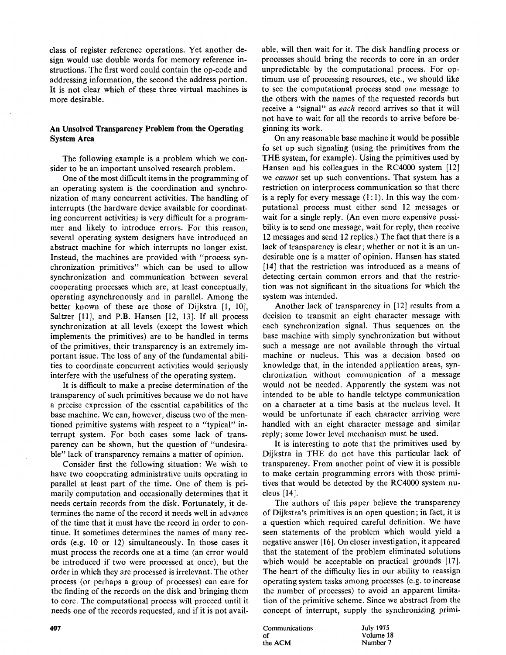class of register reference operations. Yet another design would use double words for memory reference instructions. The first word could contain the op-code and addressing information, the second the address portion.<br>It is not clear which of these three virtual machines is more desirable.

# $T$

The following example is a problem which we consider to be an important unsolved research problem.

One of the most difficult items in the programming of an operating system is the coordination and synchronization of many concurrent activities. The handling of interrupts (the hardware device available for coordinating concurrent activities) is very difficult for a programmer and likely to introduce errors. For this reason, several operating system designers have introduced an abstract machine for which interrupts no longer exist. Instead, the machines are provided with "process synchronization primitives" which can be used to allow synchronization and communication between several cooperating processes which are, at least conceptually, operating asynchronously and in parallel. Among the better known of these are those of Dijkstra  $[1, 10]$ , Saltzer  $[11]$ , and P.B. Hansen  $[12, 13]$ . If all process synchronization at all levels (except the lowest which implements the primitives) are to be handled in terms of the primitives, their transparency is an extremely important issue. The loss of any of the fundamental abilities to coordinate concurrent activities would seriously interfere with the usefulness of the operating system.

It is difficult to make a precise determination of the transparency of such primitives because we do not have a precise expression of the essential capabilities of the base machine. We can, however, discuss two of the mentioned primitive systems with respect to a "typical" interrupt system. For both cases some lack of transparency can be shown, but the question of "undesirable" lack of transparency remains a matter of opinion.

Consider first the following situation: We wish to have two cooperating administrative units operating in parallel at least part of the time. One of them is primarily computation and occasionally determines that it cleus  $[14]$ . needs certain records from the disk. Fortunately, it determines the name of the record it needs well in advance of the time that it must have the record in order to continue. It sometimes determines the names of many records (e.g. 10 or 12) simultaneously. In those cases it must process the records one at a time (an error would be introduced if two were processed at once), but the order in which they are processed is irrelevant. The other process (or perhaps a group of processes) can care for the finding of the records on the disk and bringing them the number of processes) to avoid an apparent limitation core. The computational process will proceed until it tion of the primitive scheme. Since we abstract from t to core. The computational process will proceed until it hereds one of the records requested, and if it is not avail-

**An Unsolved Transparency Problem from the Operating**  able, will then wait for it. The disk handling process or processes should bring the records to core in an order unpredictable by the computational process. For optimum use of processing resources, etc., we should like to see the computational process send *one* message to the others with the names of the requested records but receive a "signal" as each record arrives so that it will not have to wait for all the records to arrive before beginning its work.

> On any reasonable base machine it would be possible. to set up such signaling (using the primitives from the THE system, for example). Using the primitives used by Hansen and his colleagues in the  $RC4000$  system  $[12]$ we cannot set up such conventions. That system has a restriction on interprocess communication so that there is a reply for every message  $(1:1)$ . In this way the computational process must either send 12 messages or wait for a single reply. (An even more expensive possibility is to send one message, wait for reply, then receive 12 messages and send 12 replies.) The fact that there is a lack of transparency is clear; whether or not it is an undesirable one is a matter of opinion. Hansen has stated  $[14]$  that the restriction was introduced as a means of detecting certain common errors and that the restriction was not significant in the situations for which the system was intended.

> Another lack of transparency in  $[12]$  results from a decision to transmit an eight character message with each synchronization signal. Thus sequences on the base machine with simply synchronization but without such a message are not available through the virtual machine or nucleus. This was a decision based on knowledge that, in the intended application areas, synchronization without communication of a message would not be needed. Apparently the system was not intended to be able to handle teletype communication on a character at a time basis at the nucleus level. It would be unfortunate if each character arriving were handled with an eight character message and similar reply; some lower level mechanism must be used.

It is interesting to note that the primitives used by Dijkstra in THE do not have this particular lack of transparency. From another point of view it is possible to make certain programming errors with those primitives that would be detected by the RC4000 system nu- $[14]$ .

The authors of this paper believe the transparency of Dijkstra's primitives is an open question; in fact, it is a question which required careful definition. We have seen statements of the problem which would yield a negative answer [16]. On closer investigation, it appeared that the statement of the problem eliminated solutions which would be acceptable on practical grounds  $[17]$ . The heart of the difficulty lies in our ability to reassign operating system tasks among processes (e.g. to increase the number of processes) to avoid an apparent limitaconcept of interrupt, supply the synchronizing primi-

407

Communications July 1975 of the ACM

Volume 18 Number 7